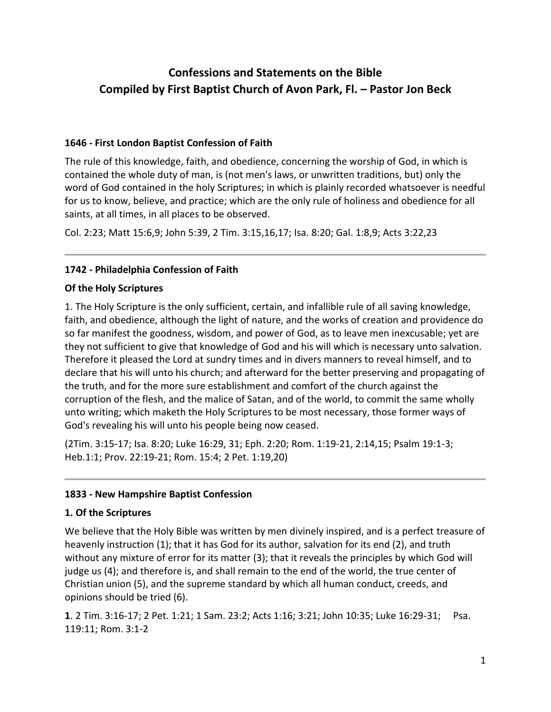# **Confessions and Statements on the Bible Compiled by First Baptist Church of Avon Park, Fl. – Pastor Jon Beck**

# **1646 - First London Baptist Confession of Faith**

The rule of this knowledge, faith, and obedience, concerning the worship of God, in which is contained the whole duty of man, is (not men's laws, or unwritten traditions, but) only the word of God contained in the holy Scriptures; in which is plainly recorded whatsoever is needful for us to know, believe, and practice; which are the only rule of holiness and obedience for all saints, at all times, in all places to be observed.

Col. 2:23; Matt 15:6,9; John 5:39, 2 Tim. 3:15,16,17; Isa. 8:20; Gal. 1:8,9; Acts 3:22,23

# **1742 - Philadelphia Confession of Faith**

# **Of the Holy Scriptures**

1. The Holy Scripture is the only sufficient, certain, and infallible rule of all saving knowledge, faith, and obedience, although the light of nature, and the works of creation and providence do so far manifest the goodness, wisdom, and power of God, as to leave men inexcusable; yet are they not sufficient to give that knowledge of God and his will which is necessary unto salvation. Therefore it pleased the Lord at sundry times and in divers manners to reveal himself, and to declare that his will unto his church; and afterward for the better preserving and propagating of the truth, and for the more sure establishment and comfort of the church against the corruption of the flesh, and the malice of Satan, and of the world, to commit the same wholly unto writing; which maketh the Holy Scriptures to be most necessary, those former ways of God's revealing his will unto his people being now ceased.

(2Tim. 3:15-17; Isa. 8:20; Luke 16:29, 31; Eph. 2:20; Rom. 1:19-21, 2:14,15; Psalm 19:1-3; Heb.1:1; Prov. 22:19-21; Rom. 15:4; 2 Pet. 1:19,20)

# **1833 - New Hampshire Baptist Confession**

# **1. Of the Scriptures**

We believe that the Holy Bible was written by men divinely inspired, and is a perfect treasure of heavenly instruction (1); that it has God for its author, salvation for its end (2), and truth without any mixture of error for its matter (3); that it reveals the principles by which God will judge us (4); and therefore is, and shall remain to the end of the world, the true center of Christian union (5), and the supreme standard by which all human conduct, creeds, and opinions should be tried (6).

**1**. 2 Tim. 3:16-17; 2 Pet. 1:21; 1 Sam. 23:2; Acts 1:16; 3:21; John 10:35; Luke 16:29-31; Psa. 119:11; Rom. 3:1-2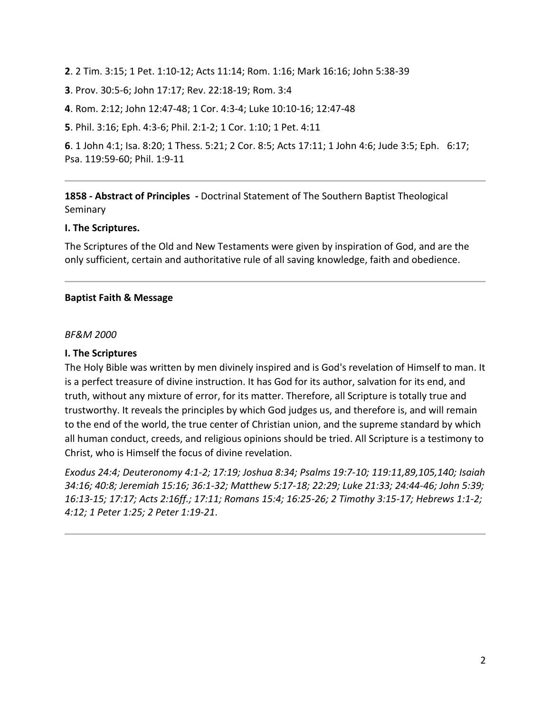**2**. 2 Tim. 3:15; 1 Pet. 1:10-12; Acts 11:14; Rom. 1:16; Mark 16:16; John 5:38-39

**3**. Prov. 30:5-6; John 17:17; Rev. 22:18-19; Rom. 3:4

**4**. Rom. 2:12; John 12:47-48; 1 Cor. 4:3-4; Luke 10:10-16; 12:47-48

**5**. Phil. 3:16; Eph. 4:3-6; Phil. 2:1-2; 1 Cor. 1:10; 1 Pet. 4:11

**6**. 1 John 4:1; Isa. 8:20; 1 Thess. 5:21; 2 Cor. 8:5; Acts 17:11; 1 John 4:6; Jude 3:5; Eph. 6:17; Psa. 119:59-60; Phil. 1:9-11

**1858 - Abstract of Principles -** Doctrinal Statement of The Southern Baptist Theological Seminary

### **I. The Scriptures.**

The Scriptures of the Old and New Testaments were given by inspiration of God, and are the only sufficient, certain and authoritative rule of all saving knowledge, faith and obedience.

#### **Baptist Faith & Message**

#### *BF&M 2000*

### **I. The Scriptures**

The Holy Bible was written by men divinely inspired and is God's revelation of Himself to man. It is a perfect treasure of divine instruction. It has God for its author, salvation for its end, and truth, without any mixture of error, for its matter. Therefore, all Scripture is totally true and trustworthy. It reveals the principles by which God judges us, and therefore is, and will remain to the end of the world, the true center of Christian union, and the supreme standard by which all human conduct, creeds, and religious opinions should be tried. All Scripture is a testimony to Christ, who is Himself the focus of divine revelation.

*Exodus 24:4; Deuteronomy 4:1-2; 17:19; Joshua 8:34; Psalms 19:7-10; 119:11,89,105,140; Isaiah 34:16; 40:8; Jeremiah 15:16; 36:1-32; Matthew 5:17-18; 22:29; Luke 21:33; 24:44-46; John 5:39; 16:13-15; 17:17; Acts 2:16ff.; 17:11; Romans 15:4; 16:25-26; 2 Timothy 3:15-17; Hebrews 1:1-2; 4:12; 1 Peter 1:25; 2 Peter 1:19-21*.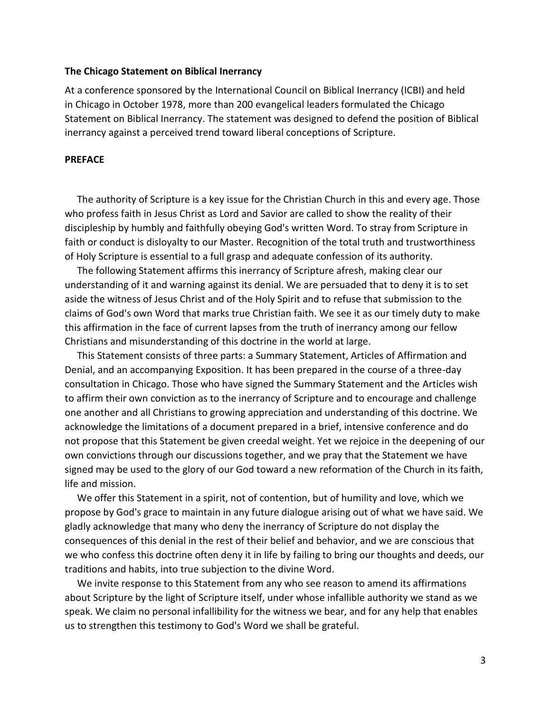#### **The Chicago Statement on Biblical Inerrancy**

At a conference sponsored by the [International Council on Biblical Inerrancy](https://en.wikipedia.org/w/index.php?title=International_Council_on_Biblical_Inerrancy&action=edit&redlink=1) (ICBI) and held in [Chicago](https://en.wikipedia.org/wiki/Chicago) in October 1978, more than 200 [evangelical](https://en.wikipedia.org/wiki/Evangelicalism) leaders formulated the Chicago Statement on Biblical Inerrancy. The statement was designed to defend the position of [Biblical](https://en.wikipedia.org/wiki/Biblical_inerrancy)  [inerrancy](https://en.wikipedia.org/wiki/Biblical_inerrancy) against a perceived trend toward [liberal](https://en.wikipedia.org/wiki/Liberal_Christianity) conceptions of [Scripture.](https://en.wikipedia.org/wiki/Bible)

#### **PREFACE**

 The authority of Scripture is a key issue for the Christian Church in this and every age. Those who profess faith in Jesus Christ as Lord and Savior are called to show the reality of their discipleship by humbly and faithfully obeying God's written Word. To stray from Scripture in faith or conduct is disloyalty to our Master. Recognition of the total truth and trustworthiness of Holy Scripture is essential to a full grasp and adequate confession of its authority.

 The following Statement affirms this inerrancy of Scripture afresh, making clear our understanding of it and warning against its denial. We are persuaded that to deny it is to set aside the witness of Jesus Christ and of the Holy Spirit and to refuse that submission to the claims of God's own Word that marks true Christian faith. We see it as our timely duty to make this affirmation in the face of current lapses from the truth of inerrancy among our fellow Christians and misunderstanding of this doctrine in the world at large.

 This Statement consists of three parts: a Summary Statement, Articles of Affirmation and Denial, and an accompanying Exposition. It has been prepared in the course of a three-day consultation in Chicago. Those who have signed the Summary Statement and the Articles wish to affirm their own conviction as to the inerrancy of Scripture and to encourage and challenge one another and all Christians to growing appreciation and understanding of this doctrine. We acknowledge the limitations of a document prepared in a brief, intensive conference and do not propose that this Statement be given creedal weight. Yet we rejoice in the deepening of our own convictions through our discussions together, and we pray that the Statement we have signed may be used to the glory of our God toward a new reformation of the Church in its faith, life and mission.

 We offer this Statement in a spirit, not of contention, but of humility and love, which we propose by God's grace to maintain in any future dialogue arising out of what we have said. We gladly acknowledge that many who deny the inerrancy of Scripture do not display the consequences of this denial in the rest of their belief and behavior, and we are conscious that we who confess this doctrine often deny it in life by failing to bring our thoughts and deeds, our traditions and habits, into true subjection to the divine Word.

 We invite response to this Statement from any who see reason to amend its affirmations about Scripture by the light of Scripture itself, under whose infallible authority we stand as we speak. We claim no personal infallibility for the witness we bear, and for any help that enables us to strengthen this testimony to God's Word we shall be grateful.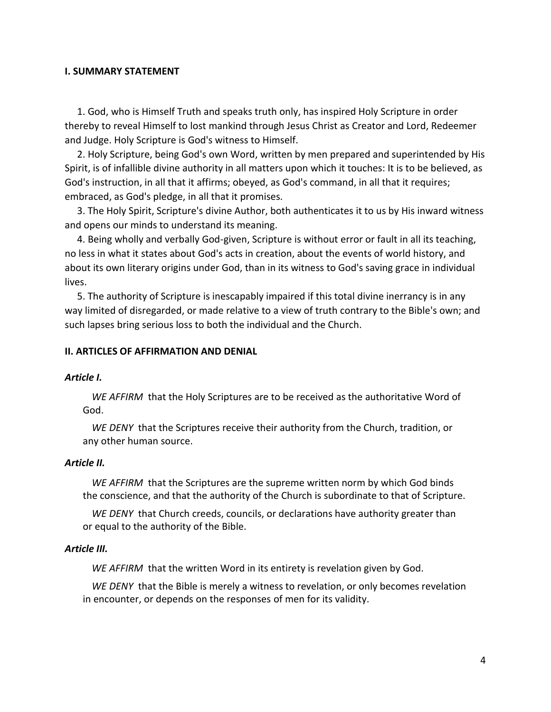#### **I. SUMMARY STATEMENT**

 1. God, who is Himself Truth and speaks truth only, has inspired Holy Scripture in order thereby to reveal Himself to lost mankind through Jesus Christ as Creator and Lord, Redeemer and Judge. Holy Scripture is God's witness to Himself.

 2. Holy Scripture, being God's own Word, written by men prepared and superintended by His Spirit, is of infallible divine authority in all matters upon which it touches: It is to be believed, as God's instruction, in all that it affirms; obeyed, as God's command, in all that it requires; embraced, as God's pledge, in all that it promises.

 3. The Holy Spirit, Scripture's divine Author, both authenticates it to us by His inward witness and opens our minds to understand its meaning.

 4. Being wholly and verbally God-given, Scripture is without error or fault in all its teaching, no less in what it states about God's acts in creation, about the events of world history, and about its own literary origins under God, than in its witness to God's saving grace in individual lives.

 5. The authority of Scripture is inescapably impaired if this total divine inerrancy is in any way limited of disregarded, or made relative to a view of truth contrary to the Bible's own; and such lapses bring serious loss to both the individual and the Church.

### **II. ARTICLES OF AFFIRMATION AND DENIAL**

#### *Article I.*

*WE AFFIRM* that the Holy Scriptures are to be received as the authoritative Word of God.

*WE DENY* that the Scriptures receive their authority from the Church, tradition, or any other human source.

#### *Article II.*

*WE AFFIRM* that the Scriptures are the supreme written norm by which God binds the conscience, and that the authority of the Church is subordinate to that of Scripture.

*WE DENY* that Church creeds, councils, or declarations have authority greater than or equal to the authority of the Bible.

### *Article III.*

*WE AFFIRM* that the written Word in its entirety is revelation given by God.

*WE DENY* that the Bible is merely a witness to revelation, or only becomes revelation in encounter, or depends on the responses of men for its validity.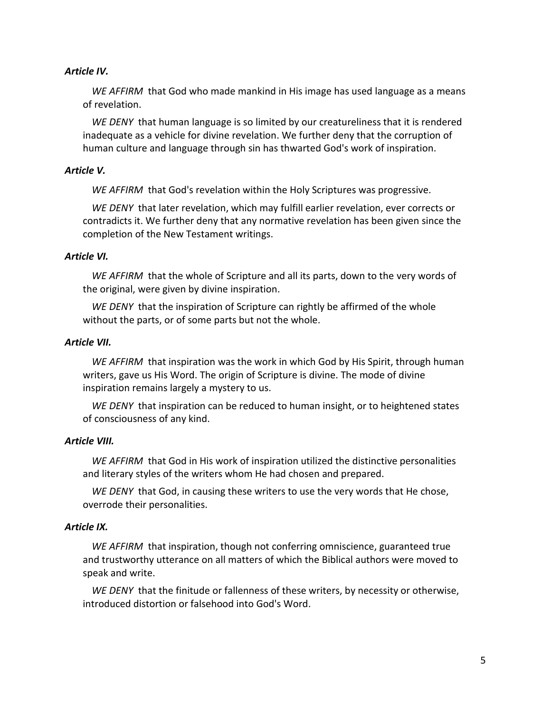### *Article IV.*

*WE AFFIRM* that God who made mankind in His image has used language as a means of revelation.

*WE DENY* that human language is so limited by our creatureliness that it is rendered inadequate as a vehicle for divine revelation. We further deny that the corruption of human culture and language through sin has thwarted God's work of inspiration.

#### *Article V.*

*WE AFFIRM* that God's revelation within the Holy Scriptures was progressive.

*WE DENY* that later revelation, which may fulfill earlier revelation, ever corrects or contradicts it. We further deny that any normative revelation has been given since the completion of the New Testament writings.

#### *Article VI.*

*WE AFFIRM* that the whole of Scripture and all its parts, down to the very words of the original, were given by divine inspiration.

*WE DENY* that the inspiration of Scripture can rightly be affirmed of the whole without the parts, or of some parts but not the whole.

#### *Article VII.*

*WE AFFIRM* that inspiration was the work in which God by His Spirit, through human writers, gave us His Word. The origin of Scripture is divine. The mode of divine inspiration remains largely a mystery to us.

*WE DENY* that inspiration can be reduced to human insight, or to heightened states of consciousness of any kind.

### *Article VIII.*

*WE AFFIRM* that God in His work of inspiration utilized the distinctive personalities and literary styles of the writers whom He had chosen and prepared.

*WE DENY* that God, in causing these writers to use the very words that He chose, overrode their personalities.

#### *Article IX.*

*WE AFFIRM* that inspiration, though not conferring omniscience, guaranteed true and trustworthy utterance on all matters of which the Biblical authors were moved to speak and write.

*WE DENY* that the finitude or fallenness of these writers, by necessity or otherwise, introduced distortion or falsehood into God's Word.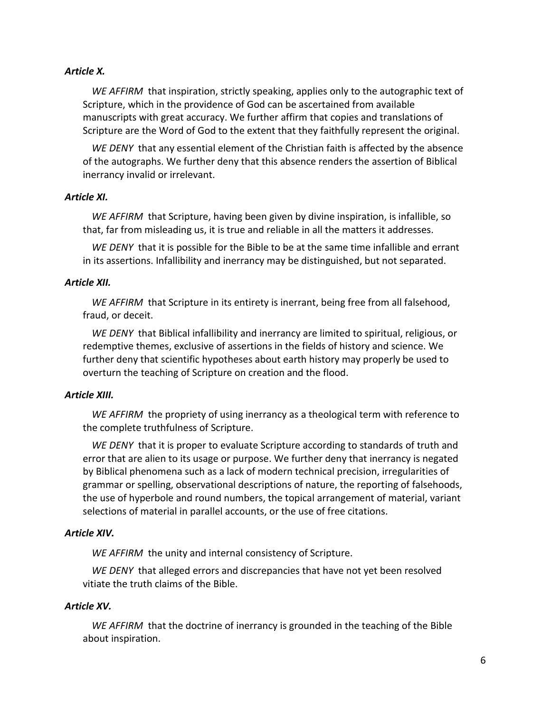### *Article X.*

*WE AFFIRM* that inspiration, strictly speaking, applies only to the autographic text of Scripture, which in the providence of God can be ascertained from available manuscripts with great accuracy. We further affirm that copies and translations of Scripture are the Word of God to the extent that they faithfully represent the original.

*WE DENY* that any essential element of the Christian faith is affected by the absence of the autographs. We further deny that this absence renders the assertion of Biblical inerrancy invalid or irrelevant.

#### *Article XI.*

*WE AFFIRM* that Scripture, having been given by divine inspiration, is infallible, so that, far from misleading us, it is true and reliable in all the matters it addresses.

*WE DENY* that it is possible for the Bible to be at the same time infallible and errant in its assertions. Infallibility and inerrancy may be distinguished, but not separated.

#### *Article XII.*

*WE AFFIRM* that Scripture in its entirety is inerrant, being free from all falsehood, fraud, or deceit.

*WE DENY* that Biblical infallibility and inerrancy are limited to spiritual, religious, or redemptive themes, exclusive of assertions in the fields of history and science. We further deny that scientific hypotheses about earth history may properly be used to overturn the teaching of Scripture on creation and the flood.

#### *Article XIII.*

*WE AFFIRM* the propriety of using inerrancy as a theological term with reference to the complete truthfulness of Scripture.

*WE DENY* that it is proper to evaluate Scripture according to standards of truth and error that are alien to its usage or purpose. We further deny that inerrancy is negated by Biblical phenomena such as a lack of modern technical precision, irregularities of grammar or spelling, observational descriptions of nature, the reporting of falsehoods, the use of hyperbole and round numbers, the topical arrangement of material, variant selections of material in parallel accounts, or the use of free citations.

#### *Article XIV.*

*WE AFFIRM* the unity and internal consistency of Scripture.

*WE DENY* that alleged errors and discrepancies that have not yet been resolved vitiate the truth claims of the Bible.

### *Article XV.*

*WE AFFIRM* that the doctrine of inerrancy is grounded in the teaching of the Bible about inspiration.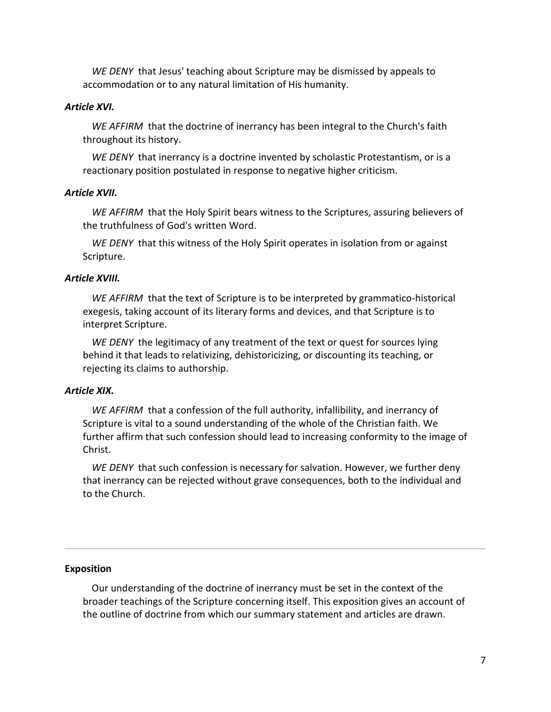*WE DENY* that Jesus' teaching about Scripture may be dismissed by appeals to accommodation or to any natural limitation of His humanity.

#### *Article XVI.*

*WE AFFIRM* that the doctrine of inerrancy has been integral to the Church's faith throughout its history.

*WE DENY* that inerrancy is a doctrine invented by scholastic Protestantism, or is a reactionary position postulated in response to negative higher criticism.

#### *Article XVII.*

*WE AFFIRM* that the Holy Spirit bears witness to the Scriptures, assuring believers of the truthfulness of God's written Word.

*WE DENY* that this witness of the Holy Spirit operates in isolation from or against Scripture.

#### *Article XVIII.*

*WE AFFIRM* that the text of Scripture is to be interpreted by grammatico-historical exegesis, taking account of its literary forms and devices, and that Scripture is to interpret Scripture.

*WE DENY* the legitimacy of any treatment of the text or quest for sources lying behind it that leads to relativizing, dehistoricizing, or discounting its teaching, or rejecting its claims to authorship.

### *Article XIX.*

*WE AFFIRM* that a confession of the full authority, infallibility, and inerrancy of Scripture is vital to a sound understanding of the whole of the Christian faith. We further affirm that such confession should lead to increasing conformity to the image of Christ.

*WE DENY* that such confession is necessary for salvation. However, we further deny that inerrancy can be rejected without grave consequences, both to the individual and to the Church.

#### **Exposition**

Our understanding of the doctrine of inerrancy must be set in the context of the broader teachings of the Scripture concerning itself. This exposition gives an account of the outline of doctrine from which our summary statement and articles are drawn.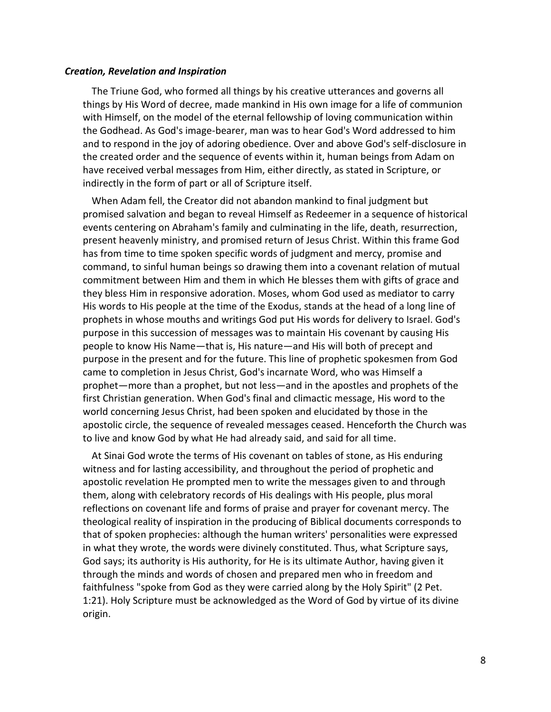#### *Creation, Revelation and Inspiration*

The Triune God, who formed all things by his creative utterances and governs all things by His Word of decree, made mankind in His own image for a life of communion with Himself, on the model of the eternal fellowship of loving communication within the Godhead. As God's image-bearer, man was to hear God's Word addressed to him and to respond in the joy of adoring obedience. Over and above God's self-disclosure in the created order and the sequence of events within it, human beings from Adam on have received verbal messages from Him, either directly, as stated in Scripture, or indirectly in the form of part or all of Scripture itself.

When Adam fell, the Creator did not abandon mankind to final judgment but promised salvation and began to reveal Himself as Redeemer in a sequence of historical events centering on Abraham's family and culminating in the life, death, resurrection, present heavenly ministry, and promised return of Jesus Christ. Within this frame God has from time to time spoken specific words of judgment and mercy, promise and command, to sinful human beings so drawing them into a covenant relation of mutual commitment between Him and them in which He blesses them with gifts of grace and they bless Him in responsive adoration. Moses, whom God used as mediator to carry His words to His people at the time of the Exodus, stands at the head of a long line of prophets in whose mouths and writings God put His words for delivery to Israel. God's purpose in this succession of messages was to maintain His covenant by causing His people to know His Name—that is, His nature—and His will both of precept and purpose in the present and for the future. This line of prophetic spokesmen from God came to completion in Jesus Christ, God's incarnate Word, who was Himself a prophet—more than a prophet, but not less—and in the apostles and prophets of the first Christian generation. When God's final and climactic message, His word to the world concerning Jesus Christ, had been spoken and elucidated by those in the apostolic circle, the sequence of revealed messages ceased. Henceforth the Church was to live and know God by what He had already said, and said for all time.

At Sinai God wrote the terms of His covenant on tables of stone, as His enduring witness and for lasting accessibility, and throughout the period of prophetic and apostolic revelation He prompted men to write the messages given to and through them, along with celebratory records of His dealings with His people, plus moral reflections on covenant life and forms of praise and prayer for covenant mercy. The theological reality of inspiration in the producing of Biblical documents corresponds to that of spoken prophecies: although the human writers' personalities were expressed in what they wrote, the words were divinely constituted. Thus, what Scripture says, God says; its authority is His authority, for He is its ultimate Author, having given it through the minds and words of chosen and prepared men who in freedom and faithfulness "spoke from God as they were carried along by the Holy Spirit" (2 Pet. 1:21). Holy Scripture must be acknowledged as the Word of God by virtue of its divine origin.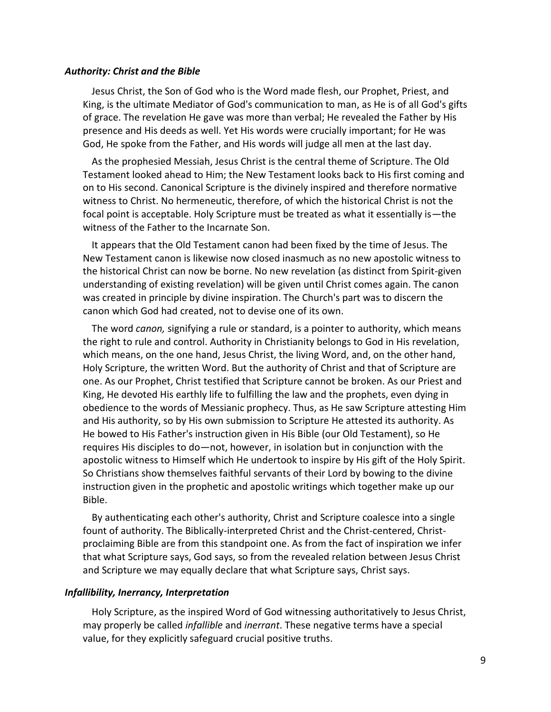#### *Authority: Christ and the Bible*

Jesus Christ, the Son of God who is the Word made flesh, our Prophet, Priest, and King, is the ultimate Mediator of God's communication to man, as He is of all God's gifts of grace. The revelation He gave was more than verbal; He revealed the Father by His presence and His deeds as well. Yet His words were crucially important; for He was God, He spoke from the Father, and His words will judge all men at the last day.

As the prophesied Messiah, Jesus Christ is the central theme of Scripture. The Old Testament looked ahead to Him; the New Testament looks back to His first coming and on to His second. Canonical Scripture is the divinely inspired and therefore normative witness to Christ. No hermeneutic, therefore, of which the historical Christ is not the focal point is acceptable. Holy Scripture must be treated as what it essentially is—the witness of the Father to the Incarnate Son.

It appears that the Old Testament canon had been fixed by the time of Jesus. The New Testament canon is likewise now closed inasmuch as no new apostolic witness to the historical Christ can now be borne. No new revelation (as distinct from Spirit-given understanding of existing revelation) will be given until Christ comes again. The canon was created in principle by divine inspiration. The Church's part was to discern the canon which God had created, not to devise one of its own.

The word *canon,* signifying a rule or standard, is a pointer to authority, which means the right to rule and control. Authority in Christianity belongs to God in His revelation, which means, on the one hand, Jesus Christ, the living Word, and, on the other hand, Holy Scripture, the written Word. But the authority of Christ and that of Scripture are one. As our Prophet, Christ testified that Scripture cannot be broken. As our Priest and King, He devoted His earthly life to fulfilling the law and the prophets, even dying in obedience to the words of Messianic prophecy. Thus, as He saw Scripture attesting Him and His authority, so by His own submission to Scripture He attested its authority. As He bowed to His Father's instruction given in His Bible (our Old Testament), so He requires His disciples to do—not, however, in isolation but in conjunction with the apostolic witness to Himself which He undertook to inspire by His gift of the Holy Spirit. So Christians show themselves faithful servants of their Lord by bowing to the divine instruction given in the prophetic and apostolic writings which together make up our Bible.

By authenticating each other's authority, Christ and Scripture coalesce into a single fount of authority. The Biblically-interpreted Christ and the Christ-centered, Christproclaiming Bible are from this standpoint one. As from the fact of inspiration we infer that what Scripture says, God says, so from the revealed relation between Jesus Christ and Scripture we may equally declare that what Scripture says, Christ says.

#### *Infallibility, Inerrancy, Interpretation*

Holy Scripture, as the inspired Word of God witnessing authoritatively to Jesus Christ, may properly be called *infallible* and *inerrant*. These negative terms have a special value, for they explicitly safeguard crucial positive truths.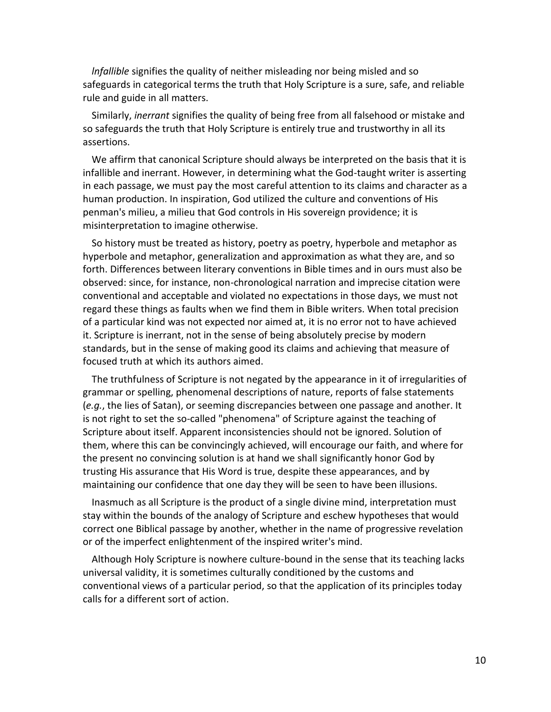*lnfallible* signifies the quality of neither misleading nor being misled and so safeguards in categorical terms the truth that Holy Scripture is a sure, safe, and reliable rule and guide in all matters.

Similarly, *inerrant* signifies the quality of being free from all falsehood or mistake and so safeguards the truth that Holy Scripture is entirely true and trustworthy in all its assertions.

We affirm that canonical Scripture should always be interpreted on the basis that it is infallible and inerrant. However, in determining what the God-taught writer is asserting in each passage, we must pay the most careful attention to its claims and character as a human production. In inspiration, God utilized the culture and conventions of His penman's milieu, a milieu that God controls in His sovereign providence; it is misinterpretation to imagine otherwise.

So history must be treated as history, poetry as poetry, hyperbole and metaphor as hyperbole and metaphor, generalization and approximation as what they are, and so forth. Differences between literary conventions in Bible times and in ours must also be observed: since, for instance, non-chronological narration and imprecise citation were conventional and acceptable and violated no expectations in those days, we must not regard these things as faults when we find them in Bible writers. When total precision of a particular kind was not expected nor aimed at, it is no error not to have achieved it. Scripture is inerrant, not in the sense of being absolutely precise by modern standards, but in the sense of making good its claims and achieving that measure of focused truth at which its authors aimed.

The truthfulness of Scripture is not negated by the appearance in it of irregularities of grammar or spelling, phenomenal descriptions of nature, reports of false statements (*e.g.*, the lies of Satan), or seeming discrepancies between one passage and another. It is not right to set the so-called "phenomena" of Scripture against the teaching of Scripture about itself. Apparent inconsistencies should not be ignored. Solution of them, where this can be convincingly achieved, will encourage our faith, and where for the present no convincing solution is at hand we shall significantly honor God by trusting His assurance that His Word is true, despite these appearances, and by maintaining our confidence that one day they will be seen to have been illusions.

Inasmuch as all Scripture is the product of a single divine mind, interpretation must stay within the bounds of the analogy of Scripture and eschew hypotheses that would correct one Biblical passage by another, whether in the name of progressive revelation or of the imperfect enlightenment of the inspired writer's mind.

Although Holy Scripture is nowhere culture-bound in the sense that its teaching lacks universal validity, it is sometimes culturally conditioned by the customs and conventional views of a particular period, so that the application of its principles today calls for a different sort of action.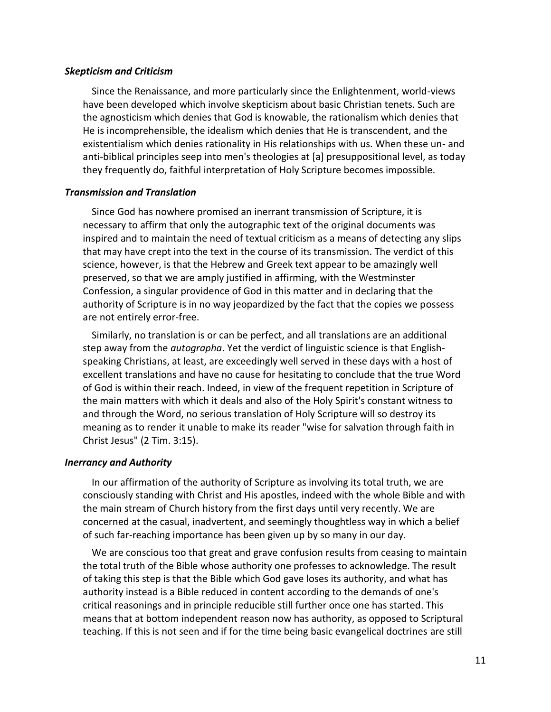#### *Skepticism and Criticism*

Since the Renaissance, and more particularly since the Enlightenment, world-views have been developed which involve skepticism about basic Christian tenets. Such are the agnosticism which denies that God is knowable, the rationalism which denies that He is incomprehensible, the idealism which denies that He is transcendent, and the existentialism which denies rationality in His relationships with us. When these un- and anti-biblical principles seep into men's theologies at [a] presuppositional level, as today they frequently do, faithful interpretation of Holy Scripture becomes impossible.

### *Transmission and Translation*

Since God has nowhere promised an inerrant transmission of Scripture, it is necessary to affirm that only the autographic text of the original documents was inspired and to maintain the need of textual criticism as a means of detecting any slips that may have crept into the text in the course of its transmission. The verdict of this science, however, is that the Hebrew and Greek text appear to be amazingly well preserved, so that we are amply justified in affirming, with the Westminster Confession, a singular providence of God in this matter and in declaring that the authority of Scripture is in no way jeopardized by the fact that the copies we possess are not entirely error-free.

Similarly, no translation is or can be perfect, and all translations are an additional step away from the *autographa*. Yet the verdict of linguistic science is that Englishspeaking Christians, at least, are exceedingly well served in these days with a host of excellent translations and have no cause for hesitating to conclude that the true Word of God is within their reach. Indeed, in view of the frequent repetition in Scripture of the main matters with which it deals and also of the Holy Spirit's constant witness to and through the Word, no serious translation of Holy Scripture will so destroy its meaning as to render it unable to make its reader "wise for salvation through faith in Christ Jesus" (2 Tim. 3:15).

### *Inerrancy and Authority*

In our affirmation of the authority of Scripture as involving its total truth, we are consciously standing with Christ and His apostles, indeed with the whole Bible and with the main stream of Church history from the first days until very recently. We are concerned at the casual, inadvertent, and seemingly thoughtless way in which a belief of such far-reaching importance has been given up by so many in our day.

We are conscious too that great and grave confusion results from ceasing to maintain the total truth of the Bible whose authority one professes to acknowledge. The result of taking this step is that the Bible which God gave loses its authority, and what has authority instead is a Bible reduced in content according to the demands of one's critical reasonings and in principle reducible still further once one has started. This means that at bottom independent reason now has authority, as opposed to Scriptural teaching. If this is not seen and if for the time being basic evangelical doctrines are still